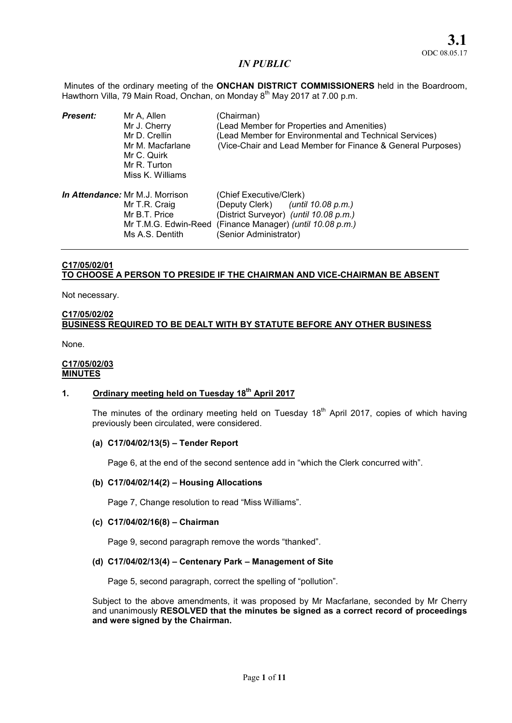Minutes of the ordinary meeting of the ONCHAN DISTRICT COMMISSIONERS held in the Boardroom, Hawthorn Villa, 79 Main Road, Onchan, on Monday 8<sup>th</sup> May 2017 at 7.00 p.m.

| <b>Present:</b> | Mr A, Allen<br>Mr J. Cherry<br>Mr D. Crellin<br>Mr M. Macfarlane<br>Mr C. Quirk<br>Mr R. Turton<br>Miss K. Williams | (Chairman)<br>(Lead Member for Properties and Amenities)<br>(Lead Member for Environmental and Technical Services)<br>(Vice-Chair and Lead Member for Finance & General Purposes) |
|-----------------|---------------------------------------------------------------------------------------------------------------------|-----------------------------------------------------------------------------------------------------------------------------------------------------------------------------------|
|                 | <i>In Attendance:</i> Mr M.J. Morrison<br>Mr T.R. Craig<br>Mr B.T. Price<br>Mr T.M.G. Edwin-Reed<br>Ms A.S. Dentith | (Chief Executive/Clerk)<br>(Deputy Clerk) ( <i>until 10.08 p.m.</i> )<br>(District Surveyor) (until 10.08 p.m.)<br>(Finance Manager) (until 10.08 p.m.)<br>(Senior Administrator) |

# C17/05/02/01 TO CHOOSE A PERSON TO PRESIDE IF THE CHAIRMAN AND VICE-CHAIRMAN BE ABSENT

Not necessary.

# C17/05/02/02 BUSINESS REQUIRED TO BE DEALT WITH BY STATUTE BEFORE ANY OTHER BUSINESS

None.

#### C17/05/02/03 **MINUTES**

# 1. Ordinary meeting held on Tuesday 18<sup>th</sup> April 2017

The minutes of the ordinary meeting held on Tuesday  $18<sup>th</sup>$  April 2017, copies of which having previously been circulated, were considered.

### (a) C17/04/02/13(5) – Tender Report

Page 6, at the end of the second sentence add in "which the Clerk concurred with".

### (b) C17/04/02/14(2) – Housing Allocations

Page 7, Change resolution to read "Miss Williams".

## (c) C17/04/02/16(8) – Chairman

Page 9, second paragraph remove the words "thanked".

### (d) C17/04/02/13(4) – Centenary Park – Management of Site

Page 5, second paragraph, correct the spelling of "pollution".

Subject to the above amendments, it was proposed by Mr Macfarlane, seconded by Mr Cherry and unanimously RESOLVED that the minutes be signed as a correct record of proceedings and were signed by the Chairman.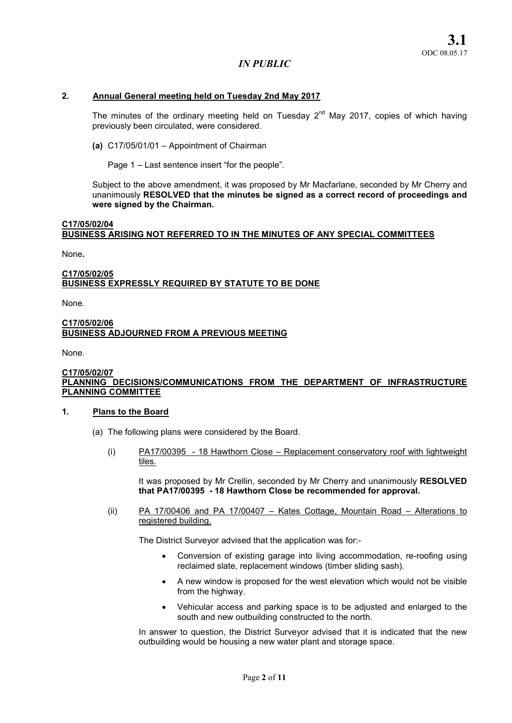## 2. Annual General meeting held on Tuesday 2nd May 2017

The minutes of the ordinary meeting held on Tuesday  $2^{nd}$  May 2017, copies of which having previously been circulated, were considered.

(a) C17/05/01/01 – Appointment of Chairman

Page 1 – Last sentence insert "for the people".

Subject to the above amendment, it was proposed by Mr Macfarlane, seconded by Mr Cherry and unanimously RESOLVED that the minutes be signed as a correct record of proceedings and were signed by the Chairman.

# C17/05/02/04 BUSINESS ARISING NOT REFERRED TO IN THE MINUTES OF ANY SPECIAL COMMITTEES

None.

### C17/05/02/05 BUSINESS EXPRESSLY REQUIRED BY STATUTE TO BE DONE

None.

## C17/05/02/06 BUSINESS ADJOURNED FROM A PREVIOUS MEETING

None.

#### C17/05/02/07 PLANNING DECISIONS/COMMUNICATIONS FROM THE DEPARTMENT OF INFRASTRUCTURE PLANNING COMMITTEE

### 1. Plans to the Board

- (a) The following plans were considered by the Board.
	- (i) PA17/00395 18 Hawthorn Close Replacement conservatory roof with lightweight tiles.

It was proposed by Mr Crellin, seconded by Mr Cherry and unanimously RESOLVED that PA17/00395 - 18 Hawthorn Close be recommended for approval.

(ii) PA 17/00406 and PA 17/00407 – Kates Cottage, Mountain Road – Alterations to registered building.

The District Surveyor advised that the application was for:-

- Conversion of existing garage into living accommodation, re-roofing using reclaimed slate, replacement windows (timber sliding sash).
- A new window is proposed for the west elevation which would not be visible from the highway.
- Vehicular access and parking space is to be adjusted and enlarged to the south and new outbuilding constructed to the north.

In answer to question, the District Surveyor advised that it is indicated that the new outbuilding would be housing a new water plant and storage space.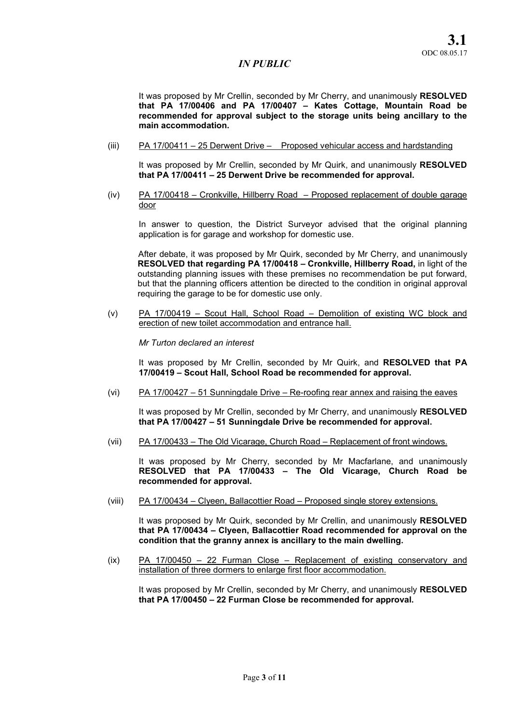It was proposed by Mr Crellin, seconded by Mr Cherry, and unanimously RESOLVED that PA 17/00406 and PA 17/00407 – Kates Cottage, Mountain Road be recommended for approval subject to the storage units being ancillary to the main accommodation.

(iii) PA 17/00411 – 25 Derwent Drive – Proposed vehicular access and hardstanding

It was proposed by Mr Crellin, seconded by Mr Quirk, and unanimously RESOLVED that PA 17/00411 – 25 Derwent Drive be recommended for approval.

(iv) PA 17/00418 – Cronkville, Hillberry Road – Proposed replacement of double garage door

In answer to question, the District Surveyor advised that the original planning application is for garage and workshop for domestic use.

After debate, it was proposed by Mr Quirk, seconded by Mr Cherry, and unanimously RESOLVED that regarding PA 17/00418 – Cronkville, Hillberry Road, in light of the outstanding planning issues with these premises no recommendation be put forward, but that the planning officers attention be directed to the condition in original approval requiring the garage to be for domestic use only.

(v) PA 17/00419 – Scout Hall, School Road – Demolition of existing WC block and erection of new toilet accommodation and entrance hall.

*Mr Turton declared an interest*

It was proposed by Mr Crellin, seconded by Mr Quirk, and RESOLVED that PA 17/00419 – Scout Hall, School Road be recommended for approval.

(vi) PA 17/00427 – 51 Sunningdale Drive – Re-roofing rear annex and raising the eaves

It was proposed by Mr Crellin, seconded by Mr Cherry, and unanimously RESOLVED that PA 17/00427 – 51 Sunningdale Drive be recommended for approval.

(vii) PA 17/00433 – The Old Vicarage, Church Road – Replacement of front windows.

It was proposed by Mr Cherry, seconded by Mr Macfarlane, and unanimously RESOLVED that PA 17/00433 – The Old Vicarage, Church Road be recommended for approval.

(viii) PA 17/00434 – Clyeen, Ballacottier Road – Proposed single storey extensions.

It was proposed by Mr Quirk, seconded by Mr Crellin, and unanimously RESOLVED that PA 17/00434 – Clyeen, Ballacottier Road recommended for approval on the condition that the granny annex is ancillary to the main dwelling.

(ix) PA 17/00450 – 22 Furman Close – Replacement of existing conservatory and installation of three dormers to enlarge first floor accommodation.

It was proposed by Mr Crellin, seconded by Mr Cherry, and unanimously RESOLVED that PA 17/00450 – 22 Furman Close be recommended for approval.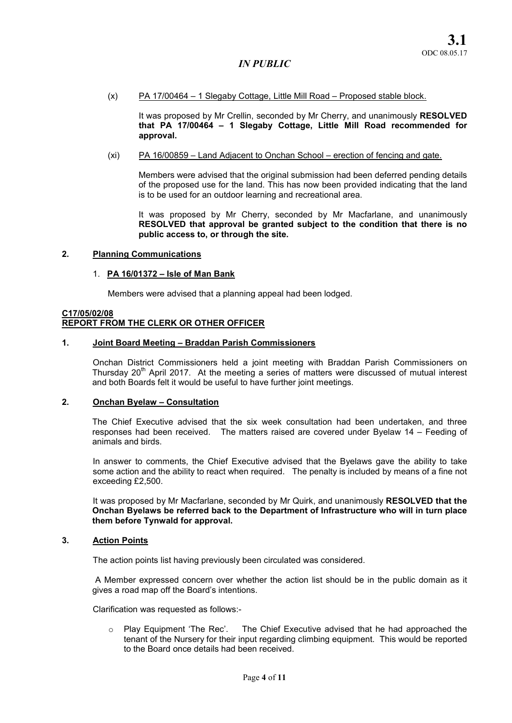(x) PA 17/00464 – 1 Slegaby Cottage, Little Mill Road – Proposed stable block.

It was proposed by Mr Crellin, seconded by Mr Cherry, and unanimously RESOLVED that PA 17/00464 – 1 Slegaby Cottage, Little Mill Road recommended for approval.

(xi) PA 16/00859 – Land Adjacent to Onchan School – erection of fencing and gate.

Members were advised that the original submission had been deferred pending details of the proposed use for the land. This has now been provided indicating that the land is to be used for an outdoor learning and recreational area.

It was proposed by Mr Cherry, seconded by Mr Macfarlane, and unanimously RESOLVED that approval be granted subject to the condition that there is no public access to, or through the site.

### 2. Planning Communications

#### 1. PA 16/01372 – Isle of Man Bank

Members were advised that a planning appeal had been lodged.

# C17/05/02/08 REPORT FROM THE CLERK OR OTHER OFFICER

#### 1. Joint Board Meeting – Braddan Parish Commissioners

Onchan District Commissioners held a joint meeting with Braddan Parish Commissioners on Thursday  $20<sup>th</sup>$  April 2017. At the meeting a series of matters were discussed of mutual interest and both Boards felt it would be useful to have further joint meetings.

## 2. Onchan Byelaw – Consultation

The Chief Executive advised that the six week consultation had been undertaken, and three responses had been received. The matters raised are covered under Byelaw 14 – Feeding of animals and birds.

In answer to comments, the Chief Executive advised that the Byelaws gave the ability to take some action and the ability to react when required. The penalty is included by means of a fine not exceeding £2,500.

It was proposed by Mr Macfarlane, seconded by Mr Quirk, and unanimously RESOLVED that the Onchan Byelaws be referred back to the Department of Infrastructure who will in turn place them before Tynwald for approval.

# 3. Action Points

The action points list having previously been circulated was considered.

A Member expressed concern over whether the action list should be in the public domain as it gives a road map off the Board's intentions.

Clarification was requested as follows:-

 $\circ$  Play Equipment 'The Rec'. The Chief Executive advised that he had approached the tenant of the Nursery for their input regarding climbing equipment. This would be reported to the Board once details had been received.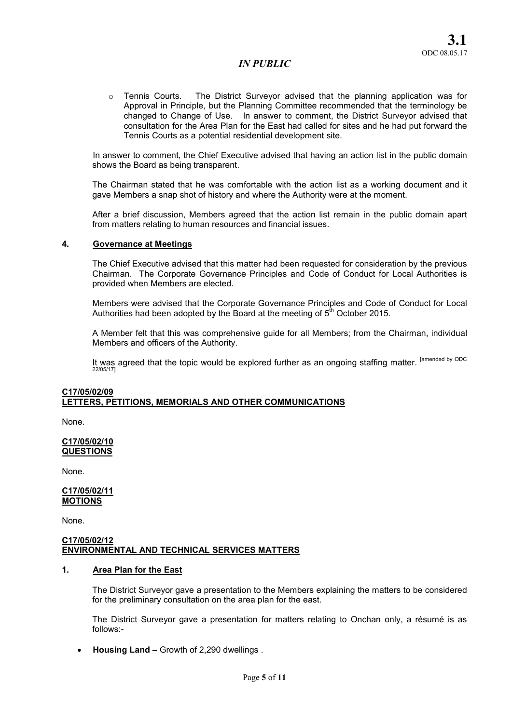$\circ$  Tennis Courts. The District Surveyor advised that the planning application was for Approval in Principle, but the Planning Committee recommended that the terminology be changed to Change of Use. In answer to comment, the District Surveyor advised that consultation for the Area Plan for the East had called for sites and he had put forward the Tennis Courts as a potential residential development site.

In answer to comment, the Chief Executive advised that having an action list in the public domain shows the Board as being transparent.

The Chairman stated that he was comfortable with the action list as a working document and it gave Members a snap shot of history and where the Authority were at the moment.

After a brief discussion, Members agreed that the action list remain in the public domain apart from matters relating to human resources and financial issues.

### 4. Governance at Meetings

The Chief Executive advised that this matter had been requested for consideration by the previous Chairman. The Corporate Governance Principles and Code of Conduct for Local Authorities is provided when Members are elected.

Members were advised that the Corporate Governance Principles and Code of Conduct for Local Authorities had been adopted by the Board at the meeting of  $5<sup>th</sup>$  October 2015.

A Member felt that this was comprehensive guide for all Members; from the Chairman, individual Members and officers of the Authority.

It was agreed that the topic would be explored further as an ongoing staffing matter. <sup>[amended by ODC</sup><br>22/05/17]

# C17/05/02/09 LETTERS, PETITIONS, MEMORIALS AND OTHER COMMUNICATIONS

None.

#### C17/05/02/10 **QUESTIONS**

None.

### C17/05/02/11 MOTIONS

None.

#### C17/05/02/12 ENVIRONMENTAL AND TECHNICAL SERVICES MATTERS

# 1. Area Plan for the East

The District Surveyor gave a presentation to the Members explaining the matters to be considered for the preliminary consultation on the area plan for the east.

The District Surveyor gave a presentation for matters relating to Onchan only, a résumé is as follows:-

Housing Land – Growth of 2,290 dwellings .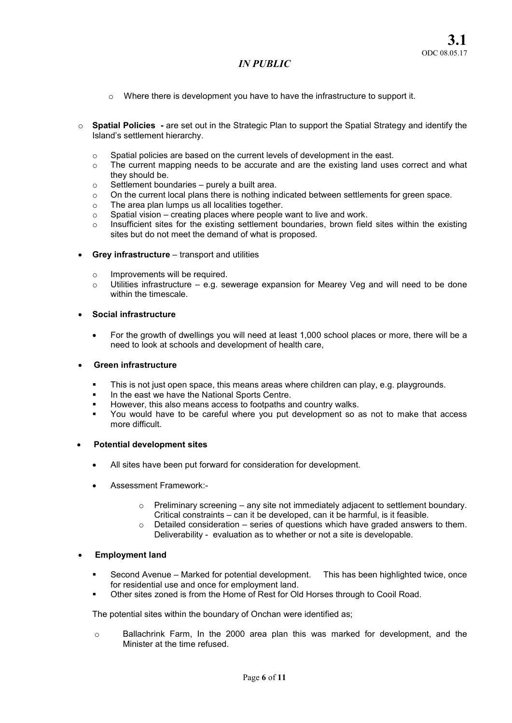- $\circ$  Where there is development you have to have the infrastructure to support it.
- $\circ$  Spatial Policies are set out in the Strategic Plan to support the Spatial Strategy and identify the Island's settlement hierarchy.
	- o Spatial policies are based on the current levels of development in the east.
	- o The current mapping needs to be accurate and are the existing land uses correct and what they should be.
	- $\circ$  Settlement boundaries purely a built area.
	- $\circ$  On the current local plans there is nothing indicated between settlements for green space.
	- o The area plan lumps us all localities together.
	- $\circ$  Spatial vision creating places where people want to live and work.
	- o Insufficient sites for the existing settlement boundaries, brown field sites within the existing sites but do not meet the demand of what is proposed.
- Grey infrastructure transport and utilities
	- o Improvements will be required.
	- $\circ$  Utilities infrastructure e.g. sewerage expansion for Mearey Veg and will need to be done within the timescale.
- Social infrastructure
	- For the growth of dwellings you will need at least 1,000 school places or more, there will be a need to look at schools and development of health care,

## Green infrastructure

- This is not just open space, this means areas where children can play, e.g. playgrounds.
- In the east we have the National Sports Centre.
- However, this also means access to footpaths and country walks.
- You would have to be careful where you put development so as not to make that access more difficult.

# Potential development sites

- All sites have been put forward for consideration for development.
- Assessment Framework:-
	- $\circ$  Preliminary screening any site not immediately adjacent to settlement boundary. Critical constraints – can it be developed, can it be harmful, is it feasible.
	- Detailed consideration series of questions which have graded answers to them. Deliverability - evaluation as to whether or not a site is developable.

# Employment land

- Second Avenue Marked for potential development. This has been highlighted twice, once for residential use and once for employment land.
- Other sites zoned is from the Home of Rest for Old Horses through to Cooil Road.

The potential sites within the boundary of Onchan were identified as;

 $\circ$  Ballachrink Farm, In the 2000 area plan this was marked for development, and the Minister at the time refused.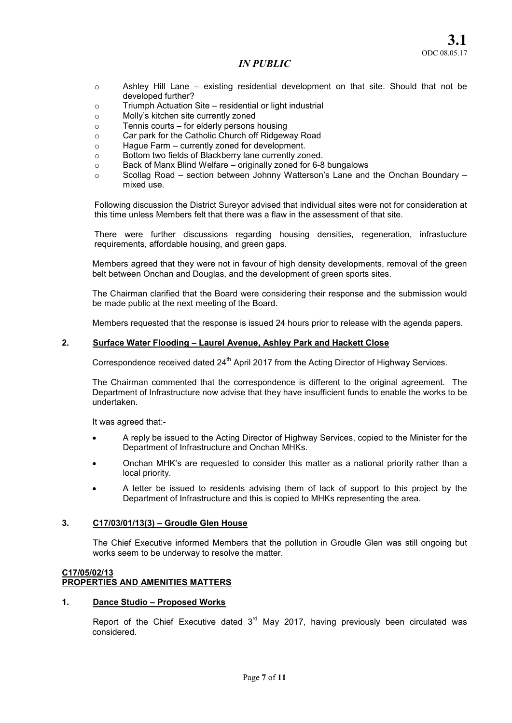- $\circ$  Ashley Hill Lane existing residential development on that site. Should that not be developed further?
- o Triumph Actuation Site residential or light industrial
- o Molly's kitchen site currently zoned
- o Tennis courts for elderly persons housing
- o Car park for the Catholic Church off Ridgeway Road
- o Hague Farm currently zoned for development.
- o Bottom two fields of Blackberry lane currently zoned.
- o Back of Manx Blind Welfare originally zoned for 6-8 bungalows
- $\circ$  Scollag Road section between Johnny Watterson's Lane and the Onchan Boundary mixed use.

Following discussion the District Sureyor advised that individual sites were not for consideration at this time unless Members felt that there was a flaw in the assessment of that site.

There were further discussions regarding housing densities, regeneration, infrastucture requirements, affordable housing, and green gaps.

Members agreed that they were not in favour of high density developments, removal of the green belt between Onchan and Douglas, and the development of green sports sites.

The Chairman clarified that the Board were considering their response and the submission would be made public at the next meeting of the Board.

Members requested that the response is issued 24 hours prior to release with the agenda papers.

## 2. Surface Water Flooding – Laurel Avenue, Ashley Park and Hackett Close

Correspondence received dated 24<sup>th</sup> April 2017 from the Acting Director of Highway Services.

The Chairman commented that the correspondence is different to the original agreement. The Department of Infrastructure now advise that they have insufficient funds to enable the works to be undertaken.

It was agreed that:-

- A reply be issued to the Acting Director of Highway Services, copied to the Minister for the Department of Infrastructure and Onchan MHKs.
- Onchan MHK's are requested to consider this matter as a national priority rather than a local priority.
- A letter be issued to residents advising them of lack of support to this project by the Department of Infrastructure and this is copied to MHKs representing the area.

# 3. C17/03/01/13(3) – Groudle Glen House

The Chief Executive informed Members that the pollution in Groudle Glen was still ongoing but works seem to be underway to resolve the matter.

## C17/05/02/13 PROPERTIES AND AMENITIES MATTERS

# 1. Dance Studio – Proposed Works

Report of the Chief Executive dated  $3<sup>rd</sup>$  May 2017, having previously been circulated was considered.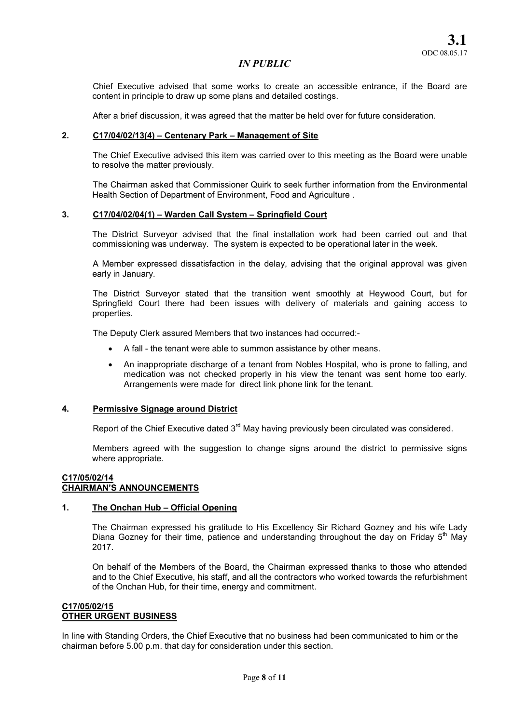Chief Executive advised that some works to create an accessible entrance, if the Board are content in principle to draw up some plans and detailed costings.

After a brief discussion, it was agreed that the matter be held over for future consideration.

## 2. C17/04/02/13(4) – Centenary Park – Management of Site

The Chief Executive advised this item was carried over to this meeting as the Board were unable to resolve the matter previously.

The Chairman asked that Commissioner Quirk to seek further information from the Environmental Health Section of Department of Environment, Food and Agriculture .

## 3. C17/04/02/04(1) – Warden Call System – Springfield Court

The District Surveyor advised that the final installation work had been carried out and that commissioning was underway. The system is expected to be operational later in the week.

A Member expressed dissatisfaction in the delay, advising that the original approval was given early in January.

The District Surveyor stated that the transition went smoothly at Heywood Court, but for Springfield Court there had been issues with delivery of materials and gaining access to properties.

The Deputy Clerk assured Members that two instances had occurred:-

- A fall the tenant were able to summon assistance by other means.
- An inappropriate discharge of a tenant from Nobles Hospital, who is prone to falling, and medication was not checked properly in his view the tenant was sent home too early. Arrangements were made for direct link phone link for the tenant.

## 4. Permissive Signage around District

Report of the Chief Executive dated 3<sup>rd</sup> May having previously been circulated was considered.

Members agreed with the suggestion to change signs around the district to permissive signs where appropriate.

## C17/05/02/14 CHAIRMAN'S ANNOUNCEMENTS

### 1. The Onchan Hub – Official Opening

The Chairman expressed his gratitude to His Excellency Sir Richard Gozney and his wife Lady Diana Gozney for their time, patience and understanding throughout the day on Friday  $5<sup>th</sup>$  May 2017.

On behalf of the Members of the Board, the Chairman expressed thanks to those who attended and to the Chief Executive, his staff, and all the contractors who worked towards the refurbishment of the Onchan Hub, for their time, energy and commitment.

# C17/05/02/15 OTHER URGENT BUSINESS

In line with Standing Orders, the Chief Executive that no business had been communicated to him or the chairman before 5.00 p.m. that day for consideration under this section.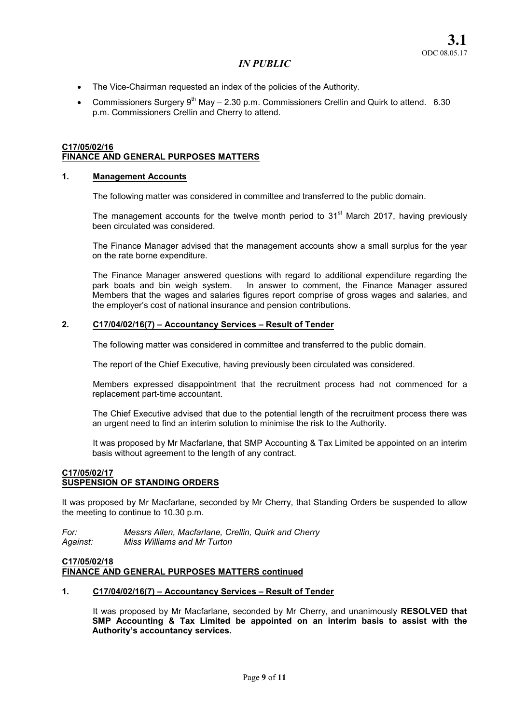- The Vice-Chairman requested an index of the policies of the Authority.
- Commissioners Surgery  $9<sup>th</sup>$  May 2.30 p.m. Commissioners Crellin and Quirk to attend. 6.30 p.m. Commissioners Crellin and Cherry to attend.

#### C17/05/02/16 FINANCE AND GENERAL PURPOSES MATTERS

## 1. Management Accounts

The following matter was considered in committee and transferred to the public domain.

The management accounts for the twelve month period to  $31<sup>st</sup>$  March 2017, having previously been circulated was considered.

The Finance Manager advised that the management accounts show a small surplus for the year on the rate borne expenditure.

The Finance Manager answered questions with regard to additional expenditure regarding the park boats and bin weigh system. In answer to comment, the Finance Manager assured Members that the wages and salaries figures report comprise of gross wages and salaries, and the employer's cost of national insurance and pension contributions.

## 2. C17/04/02/16(7) – Accountancy Services – Result of Tender

The following matter was considered in committee and transferred to the public domain.

The report of the Chief Executive, having previously been circulated was considered.

Members expressed disappointment that the recruitment process had not commenced for a replacement part-time accountant.

The Chief Executive advised that due to the potential length of the recruitment process there was an urgent need to find an interim solution to minimise the risk to the Authority.

It was proposed by Mr Macfarlane, that SMP Accounting & Tax Limited be appointed on an interim basis without agreement to the length of any contract.

### C17/05/02/17 SUSPENSION OF STANDING ORDERS

It was proposed by Mr Macfarlane, seconded by Mr Cherry, that Standing Orders be suspended to allow the meeting to continue to 10.30 p.m.

*For: Messrs Allen, Macfarlane, Crellin, Quirk and Cherry Against: Miss Williams and Mr Turton* 

# C17/05/02/18 FINANCE AND GENERAL PURPOSES MATTERS continued

### 1. C17/04/02/16(7) – Accountancy Services – Result of Tender

It was proposed by Mr Macfarlane, seconded by Mr Cherry, and unanimously RESOLVED that SMP Accounting & Tax Limited be appointed on an interim basis to assist with the Authority's accountancy services.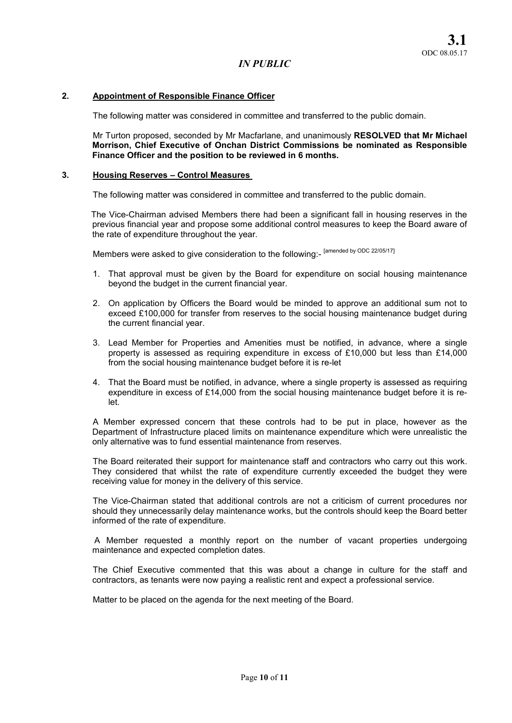# 2. Appointment of Responsible Finance Officer

The following matter was considered in committee and transferred to the public domain.

Mr Turton proposed, seconded by Mr Macfarlane, and unanimously RESOLVED that Mr Michael Morrison, Chief Executive of Onchan District Commissions be nominated as Responsible Finance Officer and the position to be reviewed in 6 months.

## 3. Housing Reserves – Control Measures

The following matter was considered in committee and transferred to the public domain.

 The Vice-Chairman advised Members there had been a significant fall in housing reserves in the previous financial year and propose some additional control measures to keep the Board aware of the rate of expenditure throughout the year.

Members were asked to give consideration to the following:- [amended by ODC 22/05/17]

- 1. That approval must be given by the Board for expenditure on social housing maintenance beyond the budget in the current financial year.
- 2. On application by Officers the Board would be minded to approve an additional sum not to exceed £100,000 for transfer from reserves to the social housing maintenance budget during the current financial year.
- 3. Lead Member for Properties and Amenities must be notified, in advance, where a single property is assessed as requiring expenditure in excess of £10,000 but less than £14,000 from the social housing maintenance budget before it is re-let
- 4. That the Board must be notified, in advance, where a single property is assessed as requiring expenditure in excess of £14,000 from the social housing maintenance budget before it is relet.

A Member expressed concern that these controls had to be put in place, however as the Department of Infrastructure placed limits on maintenance expenditure which were unrealistic the only alternative was to fund essential maintenance from reserves.

The Board reiterated their support for maintenance staff and contractors who carry out this work. They considered that whilst the rate of expenditure currently exceeded the budget they were receiving value for money in the delivery of this service.

The Vice-Chairman stated that additional controls are not a criticism of current procedures nor should they unnecessarily delay maintenance works, but the controls should keep the Board better informed of the rate of expenditure.

 A Member requested a monthly report on the number of vacant properties undergoing maintenance and expected completion dates.

The Chief Executive commented that this was about a change in culture for the staff and contractors, as tenants were now paying a realistic rent and expect a professional service.

Matter to be placed on the agenda for the next meeting of the Board.